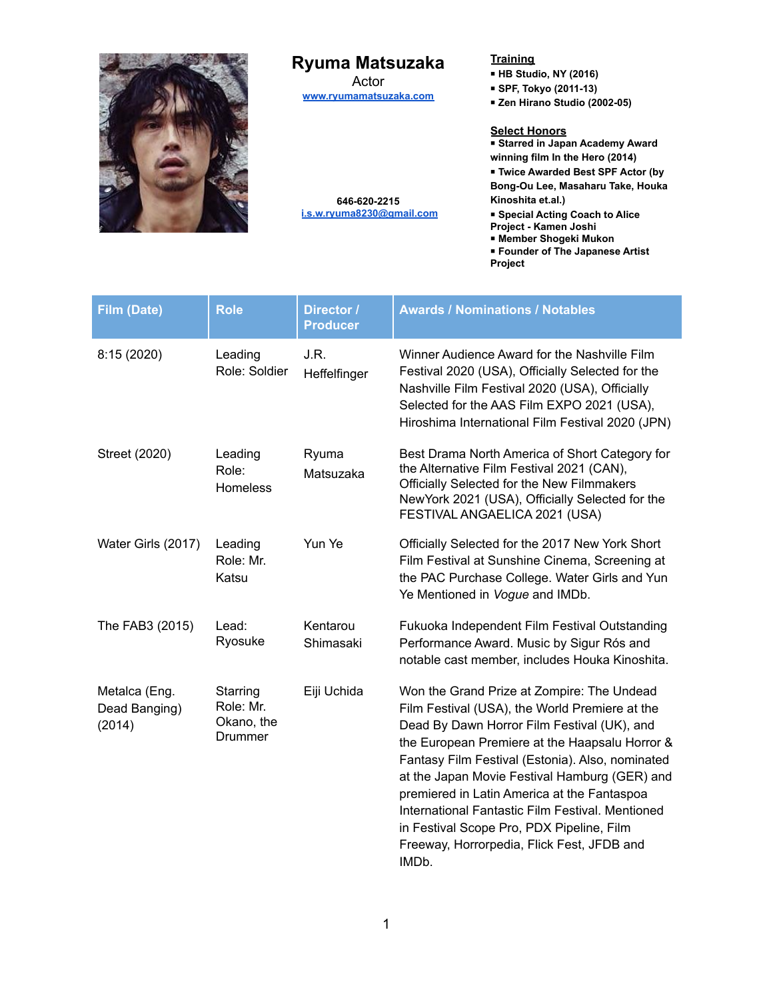

# **Ryuma Matsuzaka**

Actor **[www.ryumamatsuzaka.com](https://www.ryumamatsuzaka.com)**

**646-620-2215 [i.s.w.ryuma8230@gmail.com](mailto:i.s.w.ryuma8230@gmail.com)**

#### **Training**

- **HB Studio, NY (2016)**
- **SPF, Tokyo (2011-13)**
- **Zen Hirano Studio (2002-05)**

#### **Select Honors**

■ **Starred in Japan Academy Award winning film In the Hero (2014)**

■ **Twice Awarded Best SPF Actor (by**

**Bong-Ou Lee, Masaharu Take, Houka Kinoshita et.al.)**

■ **Special Acting Coach to Alice**

- **Project - Kamen Joshi**
- **Member Shogeki Mukon**
- **Founder of The Japanese Artist**
- **Project**

| <b>Film (Date)</b>                       | <b>Role</b>                                    | Director /<br><b>Producer</b> | <b>Awards / Nominations / Notables</b>                                                                                                                                                                                                                                                                                                                                                                                                                                                                    |
|------------------------------------------|------------------------------------------------|-------------------------------|-----------------------------------------------------------------------------------------------------------------------------------------------------------------------------------------------------------------------------------------------------------------------------------------------------------------------------------------------------------------------------------------------------------------------------------------------------------------------------------------------------------|
| 8:15 (2020)                              | Leading<br>Role: Soldier                       | J.R.<br>Heffelfinger          | Winner Audience Award for the Nashville Film<br>Festival 2020 (USA), Officially Selected for the<br>Nashville Film Festival 2020 (USA), Officially<br>Selected for the AAS Film EXPO 2021 (USA),<br>Hiroshima International Film Festival 2020 (JPN)                                                                                                                                                                                                                                                      |
| Street (2020)                            | Leading<br>Role:<br><b>Homeless</b>            | Ryuma<br>Matsuzaka            | Best Drama North America of Short Category for<br>the Alternative Film Festival 2021 (CAN),<br>Officially Selected for the New Filmmakers<br>NewYork 2021 (USA), Officially Selected for the<br>FESTIVAL ANGAELICA 2021 (USA)                                                                                                                                                                                                                                                                             |
| Water Girls (2017)                       | Leading<br>Role: Mr.<br>Katsu                  | Yun Ye                        | Officially Selected for the 2017 New York Short<br>Film Festival at Sunshine Cinema, Screening at<br>the PAC Purchase College. Water Girls and Yun<br>Ye Mentioned in Vogue and IMDb.                                                                                                                                                                                                                                                                                                                     |
| The FAB3 (2015)                          | Lead:<br>Ryosuke                               | Kentarou<br>Shimasaki         | Fukuoka Independent Film Festival Outstanding<br>Performance Award. Music by Sigur Rós and<br>notable cast member, includes Houka Kinoshita.                                                                                                                                                                                                                                                                                                                                                              |
| Metalca (Eng.<br>Dead Banging)<br>(2014) | Starring<br>Role: Mr.<br>Okano, the<br>Drummer | Eiji Uchida                   | Won the Grand Prize at Zompire: The Undead<br>Film Festival (USA), the World Premiere at the<br>Dead By Dawn Horror Film Festival (UK), and<br>the European Premiere at the Haapsalu Horror &<br>Fantasy Film Festival (Estonia). Also, nominated<br>at the Japan Movie Festival Hamburg (GER) and<br>premiered in Latin America at the Fantaspoa<br>International Fantastic Film Festival. Mentioned<br>in Festival Scope Pro, PDX Pipeline, Film<br>Freeway, Horrorpedia, Flick Fest, JFDB and<br>IMDb. |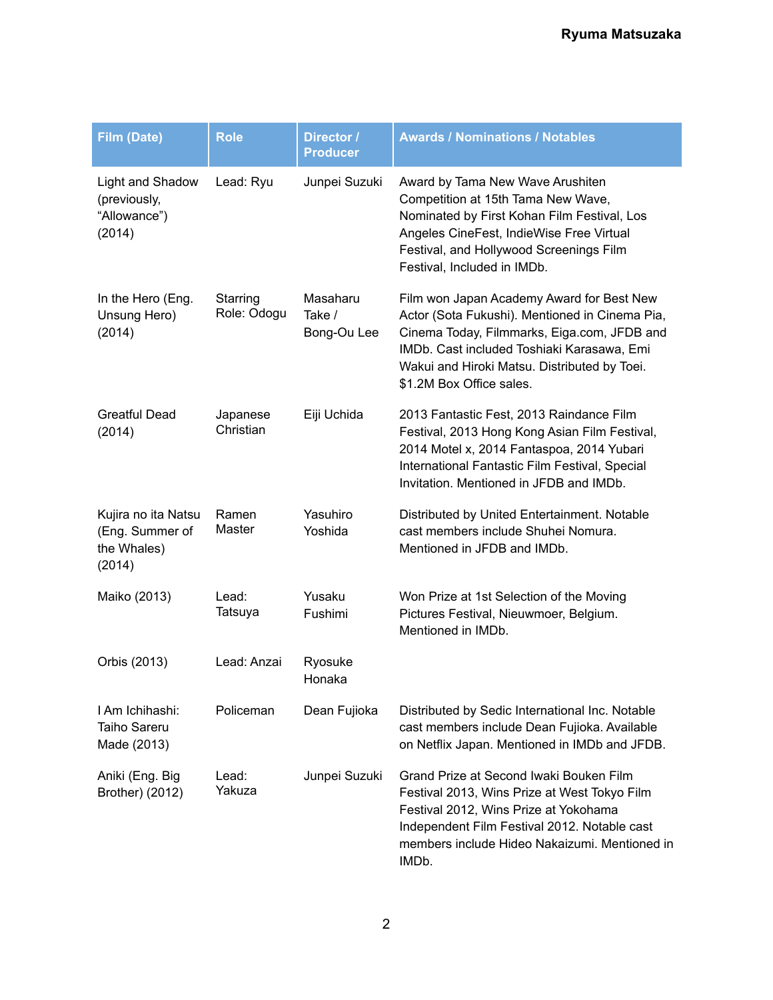| <b>Film (Date)</b>                                              | <b>Role</b>             | Director /<br><b>Producer</b>     | <b>Awards / Nominations / Notables</b>                                                                                                                                                                                                                               |
|-----------------------------------------------------------------|-------------------------|-----------------------------------|----------------------------------------------------------------------------------------------------------------------------------------------------------------------------------------------------------------------------------------------------------------------|
| Light and Shadow<br>(previously,<br>"Allowance")<br>(2014)      | Lead: Ryu               | Junpei Suzuki                     | Award by Tama New Wave Arushiten<br>Competition at 15th Tama New Wave,<br>Nominated by First Kohan Film Festival, Los<br>Angeles CineFest, IndieWise Free Virtual<br>Festival, and Hollywood Screenings Film<br>Festival, Included in IMDb.                          |
| In the Hero (Eng.<br>Unsung Hero)<br>(2014)                     | Starring<br>Role: Odogu | Masaharu<br>Take /<br>Bong-Ou Lee | Film won Japan Academy Award for Best New<br>Actor (Sota Fukushi). Mentioned in Cinema Pia,<br>Cinema Today, Filmmarks, Eiga.com, JFDB and<br>IMDb. Cast included Toshiaki Karasawa, Emi<br>Wakui and Hiroki Matsu. Distributed by Toei.<br>\$1.2M Box Office sales. |
| <b>Greatful Dead</b><br>(2014)                                  | Japanese<br>Christian   | Eiji Uchida                       | 2013 Fantastic Fest, 2013 Raindance Film<br>Festival, 2013 Hong Kong Asian Film Festival,<br>2014 Motel x, 2014 Fantaspoa, 2014 Yubari<br>International Fantastic Film Festival, Special<br>Invitation. Mentioned in JFDB and IMDb.                                  |
| Kujira no ita Natsu<br>(Eng. Summer of<br>the Whales)<br>(2014) | Ramen<br>Master         | Yasuhiro<br>Yoshida               | Distributed by United Entertainment. Notable<br>cast members include Shuhei Nomura.<br>Mentioned in JFDB and IMDb.                                                                                                                                                   |
| Maiko (2013)                                                    | Lead:<br>Tatsuya        | Yusaku<br>Fushimi                 | Won Prize at 1st Selection of the Moving<br>Pictures Festival, Nieuwmoer, Belgium.<br>Mentioned in IMDb.                                                                                                                                                             |
| Orbis (2013)                                                    | Lead: Anzai             | Ryosuke<br>Honaka                 |                                                                                                                                                                                                                                                                      |
| I Am Ichihashi:<br><b>Taiho Sareru</b><br>Made (2013)           | Policeman               | Dean Fujioka                      | Distributed by Sedic International Inc. Notable<br>cast members include Dean Fujioka. Available<br>on Netflix Japan. Mentioned in IMDb and JFDB.                                                                                                                     |
| Aniki (Eng. Big<br>Brother) (2012)                              | Lead:<br>Yakuza         | Junpei Suzuki                     | Grand Prize at Second Iwaki Bouken Film<br>Festival 2013, Wins Prize at West Tokyo Film<br>Festival 2012, Wins Prize at Yokohama<br>Independent Film Festival 2012. Notable cast<br>members include Hideo Nakaizumi. Mentioned in<br>IMDb.                           |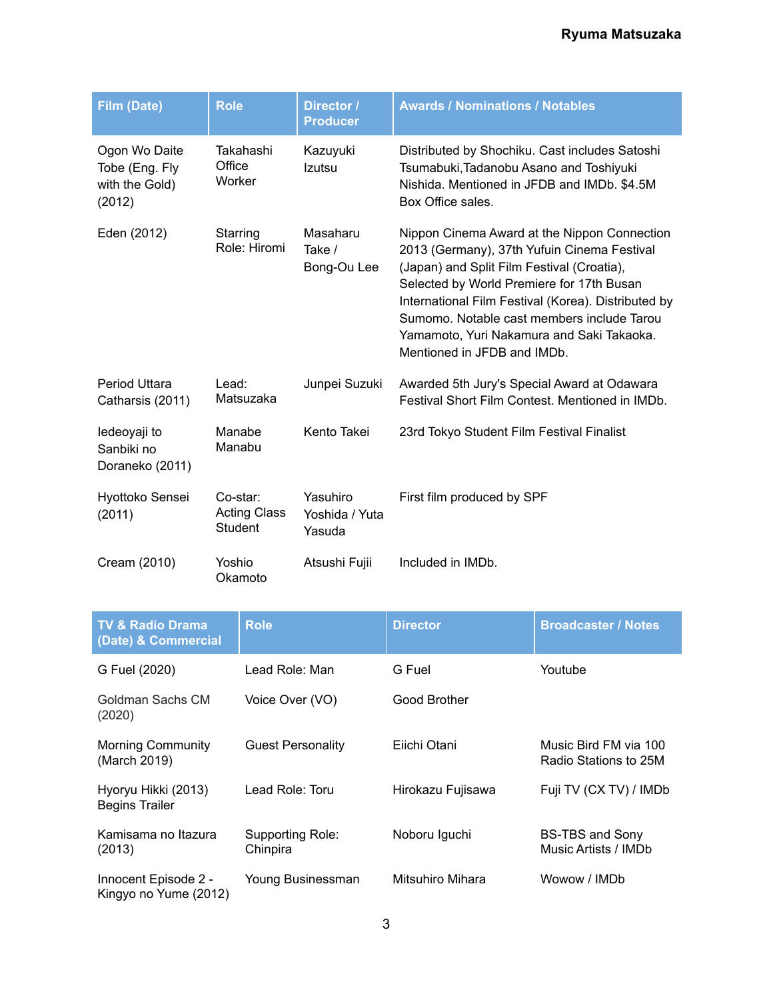| <b>Film (Date)</b>                                          | <b>Role</b>                                | Director /<br><b>Producer</b>        | <b>Awards / Nominations / Notables</b>                                                                                                                                                                                                                                                                                                                                  |
|-------------------------------------------------------------|--------------------------------------------|--------------------------------------|-------------------------------------------------------------------------------------------------------------------------------------------------------------------------------------------------------------------------------------------------------------------------------------------------------------------------------------------------------------------------|
| Ogon Wo Daite<br>Tobe (Eng. Fly<br>with the Gold)<br>(2012) | Takahashi<br>Office<br>Worker              | Kazuyuki<br>Izutsu                   | Distributed by Shochiku. Cast includes Satoshi<br>Tsumabuki, Tadanobu Asano and Toshiyuki<br>Nishida. Mentioned in JFDB and IMDb. \$4.5M<br>Box Office sales.                                                                                                                                                                                                           |
| Eden (2012)                                                 | Starring<br>Role: Hiromi                   | Masaharu<br>Take /<br>Bong-Ou Lee    | Nippon Cinema Award at the Nippon Connection<br>2013 (Germany), 37th Yufuin Cinema Festival<br>(Japan) and Split Film Festival (Croatia),<br>Selected by World Premiere for 17th Busan<br>International Film Festival (Korea). Distributed by<br>Sumomo. Notable cast members include Tarou<br>Yamamoto, Yuri Nakamura and Saki Takaoka.<br>Mentioned in JFDB and IMDb. |
| Period Uttara<br>Catharsis (2011)                           | Lead:<br>Matsuzaka                         | Junpei Suzuki                        | Awarded 5th Jury's Special Award at Odawara<br>Festival Short Film Contest. Mentioned in IMDb.                                                                                                                                                                                                                                                                          |
| ledeoyaji to<br>Sanbiki no<br>Doraneko (2011)               | Manabe<br>Manabu                           | Kento Takei                          | 23rd Tokyo Student Film Festival Finalist                                                                                                                                                                                                                                                                                                                               |
| Hyottoko Sensei<br>(2011)                                   | Co-star:<br><b>Acting Class</b><br>Student | Yasuhiro<br>Yoshida / Yuta<br>Yasuda | First film produced by SPF                                                                                                                                                                                                                                                                                                                                              |
| Cream (2010)                                                | Yoshio<br>Okamoto                          | Atsushi Fujii                        | Included in IMDb.                                                                                                                                                                                                                                                                                                                                                       |

| <b>TV &amp; Radio Drama</b><br>(Date) & Commercial | <b>Role</b>                  | <b>Director</b>   | <b>Broadcaster / Notes</b>                     |
|----------------------------------------------------|------------------------------|-------------------|------------------------------------------------|
| G Fuel (2020)                                      | Lead Role: Man               | G Fuel            | Youtube                                        |
| Goldman Sachs CM<br>(2020)                         | Voice Over (VO)              | Good Brother      |                                                |
| <b>Morning Community</b><br>(March 2019)           | <b>Guest Personality</b>     | Eiichi Otani      | Music Bird FM via 100<br>Radio Stations to 25M |
| Hyoryu Hikki (2013)<br><b>Begins Trailer</b>       | Lead Role: Toru              | Hirokazu Fujisawa | Fuji TV (CX TV) / IMDb                         |
| Kamisama no Itazura<br>(2013)                      | Supporting Role:<br>Chinpira | Noboru Iguchi     | <b>BS-TBS and Sony</b><br>Music Artists / IMDb |
| Innocent Episode 2 -<br>Kingyo no Yume (2012)      | Young Businessman            | Mitsuhiro Mihara  | Wowow / IMDb                                   |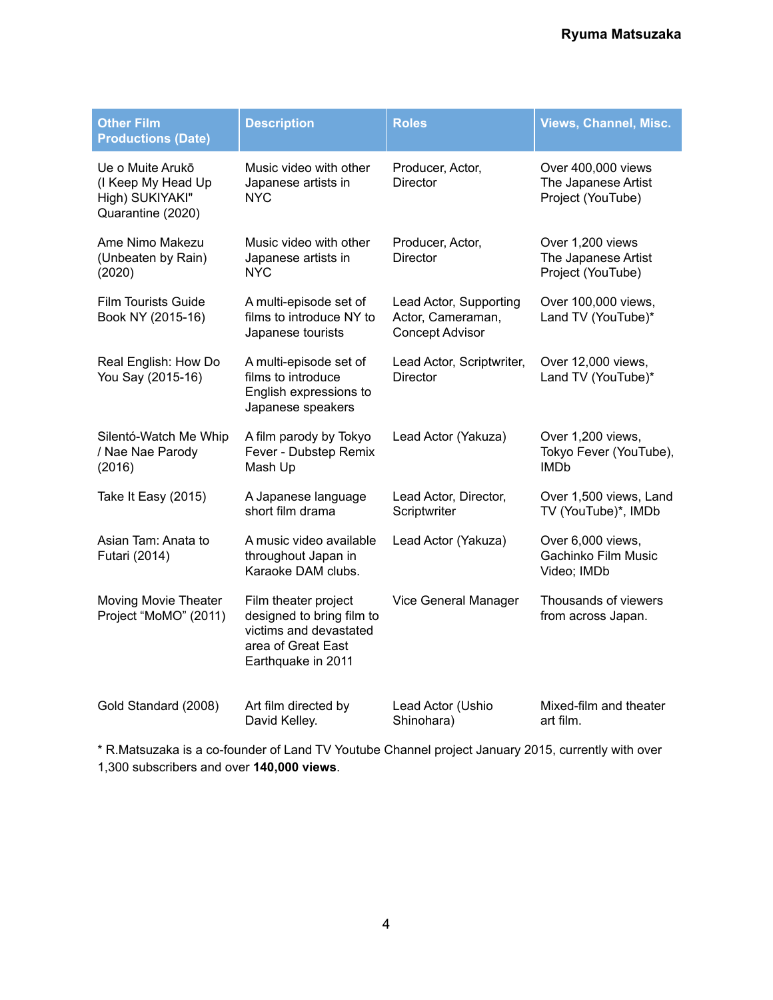| <b>Other Film</b><br><b>Productions (Date)</b>                                 | <b>Description</b>                                                                                                      | <b>Roles</b>                                                          | <b>Views, Channel, Misc.</b>                                   |
|--------------------------------------------------------------------------------|-------------------------------------------------------------------------------------------------------------------------|-----------------------------------------------------------------------|----------------------------------------------------------------|
| Ue o Muite Arukō<br>(I Keep My Head Up<br>High) SUKIYAKI"<br>Quarantine (2020) | Music video with other<br>Japanese artists in<br>NYC.                                                                   | Producer, Actor,<br><b>Director</b>                                   | Over 400,000 views<br>The Japanese Artist<br>Project (YouTube) |
| Ame Nimo Makezu<br>(Unbeaten by Rain)<br>(2020)                                | Music video with other<br>Japanese artists in<br>NYC.                                                                   | Producer, Actor,<br><b>Director</b>                                   | Over 1,200 views<br>The Japanese Artist<br>Project (YouTube)   |
| <b>Film Tourists Guide</b><br>Book NY (2015-16)                                | A multi-episode set of<br>films to introduce NY to<br>Japanese tourists                                                 | Lead Actor, Supporting<br>Actor, Cameraman,<br><b>Concept Advisor</b> | Over 100,000 views,<br>Land TV (YouTube)*                      |
| Real English: How Do<br>You Say (2015-16)                                      | A multi-episode set of<br>films to introduce<br>English expressions to<br>Japanese speakers                             | Lead Actor, Scriptwriter,<br><b>Director</b>                          | Over 12,000 views,<br>Land TV (YouTube)*                       |
| Silentó-Watch Me Whip<br>/ Nae Nae Parody<br>(2016)                            | A film parody by Tokyo<br>Fever - Dubstep Remix<br>Mash Up                                                              | Lead Actor (Yakuza)                                                   | Over 1,200 views,<br>Tokyo Fever (YouTube),<br><b>IMDb</b>     |
| Take It Easy (2015)                                                            | A Japanese language<br>short film drama                                                                                 | Lead Actor, Director,<br>Scriptwriter                                 | Over 1,500 views, Land<br>TV (YouTube)*, IMDb                  |
| Asian Tam: Anata to<br>Futari (2014)                                           | A music video available<br>throughout Japan in<br>Karaoke DAM clubs.                                                    | Lead Actor (Yakuza)                                                   | Over 6,000 views,<br>Gachinko Film Music<br>Video; IMDb        |
| Moving Movie Theater<br>Project "MoMO" (2011)                                  | Film theater project<br>designed to bring film to<br>victims and devastated<br>area of Great East<br>Earthquake in 2011 | Vice General Manager                                                  | Thousands of viewers<br>from across Japan.                     |
| Gold Standard (2008)                                                           | Art film directed by<br>David Kelley.                                                                                   | Lead Actor (Ushio<br>Shinohara)                                       | Mixed-film and theater<br>art film.                            |

\* R.Matsuzaka is a co-founder of Land TV Youtube Channel project January 2015, currently with over 1,300 subscribers and over **140,000 views**.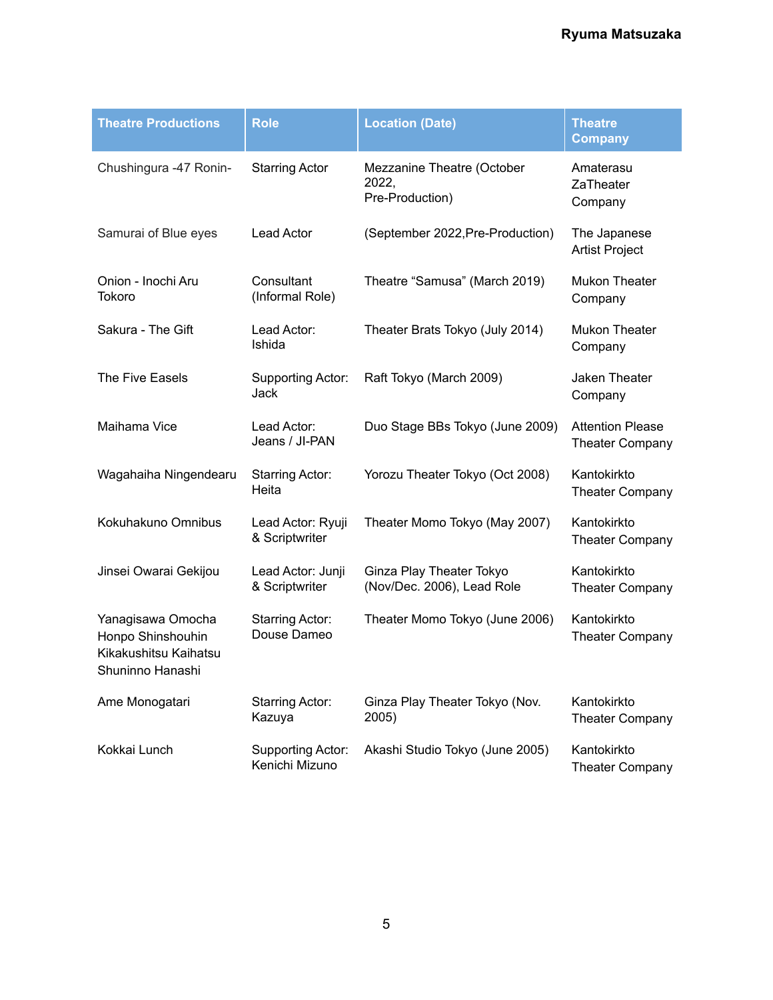| <b>Theatre Productions</b>                                                          | <b>Role</b>                           | <b>Location (Date)</b>                                 | <b>Theatre</b><br><b>Company</b>                  |
|-------------------------------------------------------------------------------------|---------------------------------------|--------------------------------------------------------|---------------------------------------------------|
| Chushingura -47 Ronin-                                                              | <b>Starring Actor</b>                 | Mezzanine Theatre (October<br>2022,<br>Pre-Production) | Amaterasu<br>ZaTheater<br>Company                 |
| Samurai of Blue eyes                                                                | <b>Lead Actor</b>                     | (September 2022, Pre-Production)                       | The Japanese<br><b>Artist Project</b>             |
| Onion - Inochi Aru<br>Tokoro                                                        | Consultant<br>(Informal Role)         | Theatre "Samusa" (March 2019)                          | <b>Mukon Theater</b><br>Company                   |
| Sakura - The Gift                                                                   | Lead Actor:<br>Ishida                 | Theater Brats Tokyo (July 2014)                        | <b>Mukon Theater</b><br>Company                   |
| The Five Easels                                                                     | Supporting Actor:<br>Jack             | Raft Tokyo (March 2009)                                | Jaken Theater<br>Company                          |
| Maihama Vice                                                                        | Lead Actor:<br>Jeans / JI-PAN         | Duo Stage BBs Tokyo (June 2009)                        | <b>Attention Please</b><br><b>Theater Company</b> |
| Wagahaiha Ningendearu                                                               | <b>Starring Actor:</b><br>Heita       | Yorozu Theater Tokyo (Oct 2008)                        | Kantokirkto<br><b>Theater Company</b>             |
| Kokuhakuno Omnibus                                                                  | Lead Actor: Ryuji<br>& Scriptwriter   | Theater Momo Tokyo (May 2007)                          | Kantokirkto<br><b>Theater Company</b>             |
| Jinsei Owarai Gekijou                                                               | Lead Actor: Junji<br>& Scriptwriter   | Ginza Play Theater Tokyo<br>(Nov/Dec. 2006), Lead Role | Kantokirkto<br><b>Theater Company</b>             |
| Yanagisawa Omocha<br>Honpo Shinshouhin<br>Kikakushitsu Kaihatsu<br>Shuninno Hanashi | <b>Starring Actor:</b><br>Douse Dameo | Theater Momo Tokyo (June 2006)                         | Kantokirkto<br><b>Theater Company</b>             |
| Ame Monogatari                                                                      | <b>Starring Actor:</b><br>Kazuya      | Ginza Play Theater Tokyo (Nov.<br>2005)                | Kantokirkto<br><b>Theater Company</b>             |
| Kokkai Lunch                                                                        | Supporting Actor:<br>Kenichi Mizuno   | Akashi Studio Tokyo (June 2005)                        | Kantokirkto<br><b>Theater Company</b>             |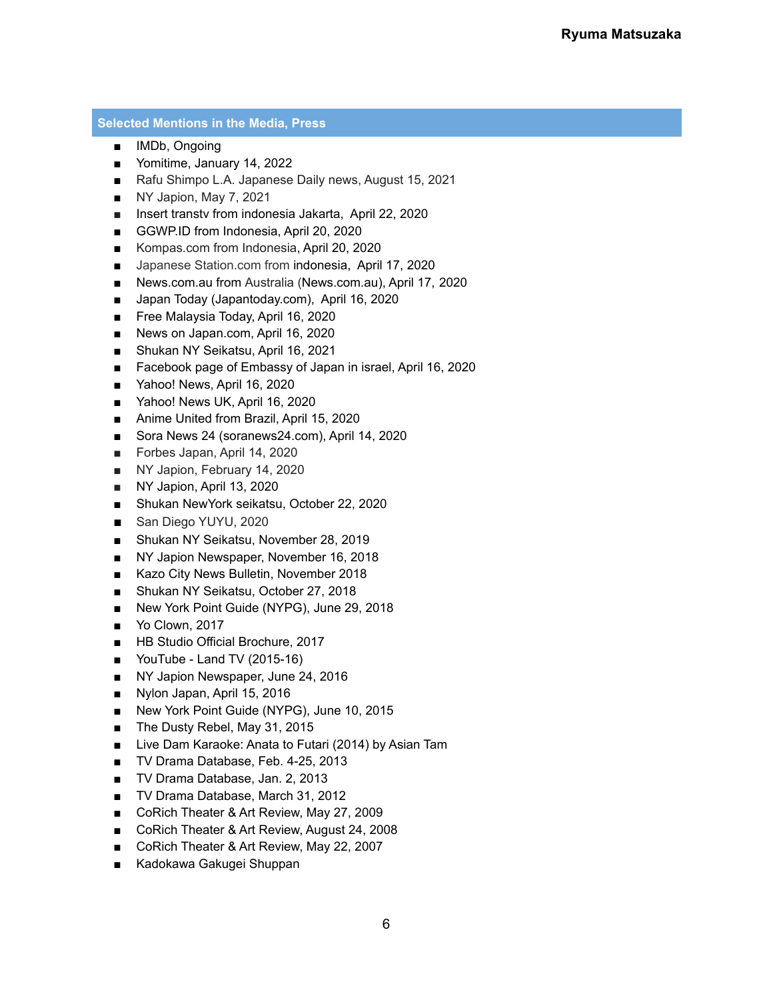### **Selected Mentions in the Media, Press**

- IMDb, Ongoing
- Yomitime, January 14, 2022
- Rafu Shimpo L.A. Japanese Daily news, August 15, 2021
- NY Japion, May 7, 2021
- Insert transtv from indonesia Jakarta, April 22, 2020
- GGWP.ID from Indonesia, April 20, 2020
- Kompas.com from Indonesia, April 20, 2020
- Japanese Station.com from indonesia, April 17, 2020
- News.com.au from Australia (News.com.au), April 17, 2020
- Japan Today (Japantoday.com), April 16, 2020
- Free Malaysia Today, April 16, 2020
- News on Japan.com, April 16, 2020
- Shukan NY Seikatsu, April 16, 2021
- Facebook page of Embassy of Japan in israel, April 16, 2020
- Yahoo! News, April 16, 2020
- Yahoo! News UK, April 16, 2020
- Anime United from Brazil, April 15, 2020
- Sora News 24 (soranews24.com), April 14, 2020
- Forbes Japan, April 14, 2020
- NY Japion, February 14, 2020
- NY Japion, April 13, 2020
- Shukan NewYork seikatsu, October 22, 2020
- San Diego YUYU, 2020
- Shukan NY Seikatsu, November 28, 2019
- NY Japion Newspaper, November 16, 2018
- Kazo City News Bulletin, November 2018
- Shukan NY Seikatsu, October 27, 2018
- New York Point Guide (NYPG), June 29, 2018
- Yo Clown, 2017
- HB Studio Official Brochure, 2017
- YouTube Land TV (2015-16)
- NY Japion Newspaper, June 24, 2016
- Nylon Japan, April 15, 2016
- New York Point Guide (NYPG), June 10, 2015
- The Dusty Rebel, May 31, 2015
- Live Dam Karaoke: Anata to Futari (2014) by Asian Tam
- TV Drama Database, Feb. 4-25, 2013
- TV Drama Database, Jan. 2, 2013
- TV Drama Database, March 31, 2012
- CoRich Theater & Art Review, May 27, 2009
- CoRich Theater & Art Review, August 24, 2008
- CoRich Theater & Art Review, May 22, 2007
- Kadokawa Gakugei Shuppan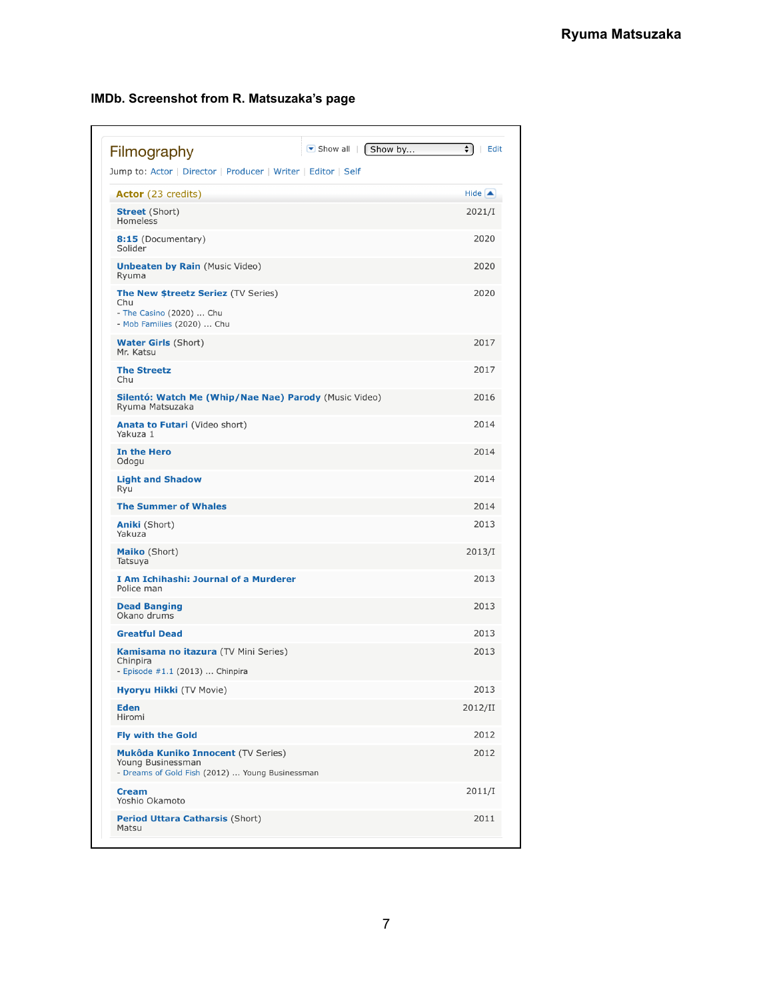| $\blacktriangleright$ Show all<br>Show by<br>Filmography                                                    | $\div$<br>∣ Edit      |
|-------------------------------------------------------------------------------------------------------------|-----------------------|
| Jump to: Actor   Director   Producer   Writer   Editor   Self                                               |                       |
| <b>Actor</b> (23 credits)                                                                                   | Hide $\blacktriangle$ |
| <b>Street</b> (Short)<br>Homeless                                                                           | 2021/I                |
| <b>8:15</b> (Documentary)<br>Solider                                                                        | 2020                  |
| <b>Unbeaten by Rain (Music Video)</b><br>Ryuma                                                              | 2020                  |
| <b>The New \$treetz Seriez (TV Series)</b><br>Chu<br>- The Casino (2020)  Chu<br>- Mob Families (2020)  Chu | 2020                  |
| <b>Water Girls</b> (Short)<br>Mr. Katsu                                                                     | 2017                  |
| <b>The Streetz</b><br>Chu                                                                                   | 2017                  |
| Silentó: Watch Me (Whip/Nae Nae) Parody (Music Video)<br>Ryuma Matsuzaka                                    | 2016                  |
| <b>Anata to Futari</b> (Video short)<br>Yakuza 1                                                            | 2014                  |
| In the Hero<br>Odogu                                                                                        | 2014                  |
| <b>Light and Shadow</b><br>Ryu                                                                              | 2014                  |
| <b>The Summer of Whales</b>                                                                                 | 2014                  |
| <b>Aniki</b> (Short)<br>Yakuza                                                                              | 2013                  |
| <b>Maiko</b> (Short)<br>Tatsuya                                                                             | 2013/I                |
| I Am Ichihashi: Journal of a Murderer<br>Police man                                                         | 2013                  |
| <b>Dead Banging</b><br>Okano drums                                                                          | 2013                  |
| <b>Greatful Dead</b>                                                                                        | 2013                  |
| <b>Kamisama no itazura</b> (TV Mini Series)<br>Chinpira<br>- Episode #1.1 (2013)  Chinpira                  | 2013                  |
| <b>Hyoryu Hikki</b> (TV Movie)                                                                              | 2013                  |
| <b>Eden</b><br>Hiromi                                                                                       | 2012/II               |
| <b>Fly with the Gold</b>                                                                                    | 2012                  |
| Mukôda Kuniko Innocent (TV Series)<br>Young Businessman<br>- Dreams of Gold Fish (2012)  Young Businessman  | 2012                  |
| <b>Cream</b><br>Yoshio Okamoto                                                                              | 2011/I                |
| <b>Period Uttara Catharsis (Short)</b><br>Matsu                                                             | 2011                  |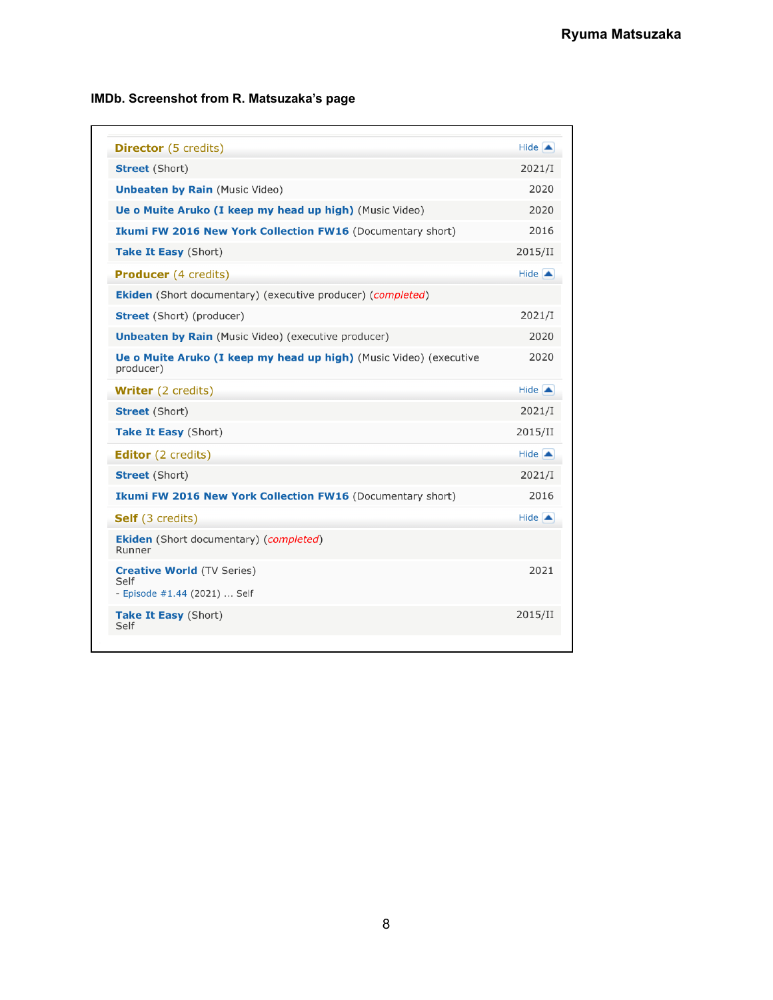| <b>Director</b> (5 credits)                                                     | $Hide$ $\triangle$    |
|---------------------------------------------------------------------------------|-----------------------|
| <b>Street</b> (Short)                                                           | 2021/I                |
| <b>Unbeaten by Rain (Music Video)</b>                                           | 2020                  |
| Ue o Muite Aruko (I keep my head up high) (Music Video)                         | 2020                  |
| <b>Ikumi FW 2016 New York Collection FW16 (Documentary short)</b>               | 2016                  |
| Take It Easy (Short)                                                            | 2015/II               |
| <b>Producer</b> (4 credits)                                                     | Hide $\blacktriangle$ |
| <b>Ekiden</b> (Short documentary) (executive producer) (completed)              |                       |
| <b>Street</b> (Short) (producer)                                                | 2021/I                |
| <b>Unbeaten by Rain</b> (Music Video) (executive producer)                      | 2020                  |
| Ue o Muite Aruko (I keep my head up high) (Music Video) (executive<br>producer) | 2020                  |
| <b>Writer</b> (2 credits)                                                       | Hide $\blacktriangle$ |
| <b>Street</b> (Short)                                                           | 2021/I                |
| Take It Easy (Short)                                                            | 2015/II               |
| <b>Editor</b> (2 credits)                                                       | Hide $\blacktriangle$ |
| <b>Street</b> (Short)                                                           | 2021/I                |
| Ikumi FW 2016 New York Collection FW16 (Documentary short)                      | 2016                  |
| <b>Self</b> (3 credits)                                                         | $Hide$ $\triangle$    |
| <b>Ekiden</b> (Short documentary) ( <i>completed</i> )<br>Runner                |                       |
| <b>Creative World (TV Series)</b><br>Self<br>- Episode #1.44 (2021)  Self       | 2021                  |
| Take It Easy (Short)<br>Self                                                    | 2015/II               |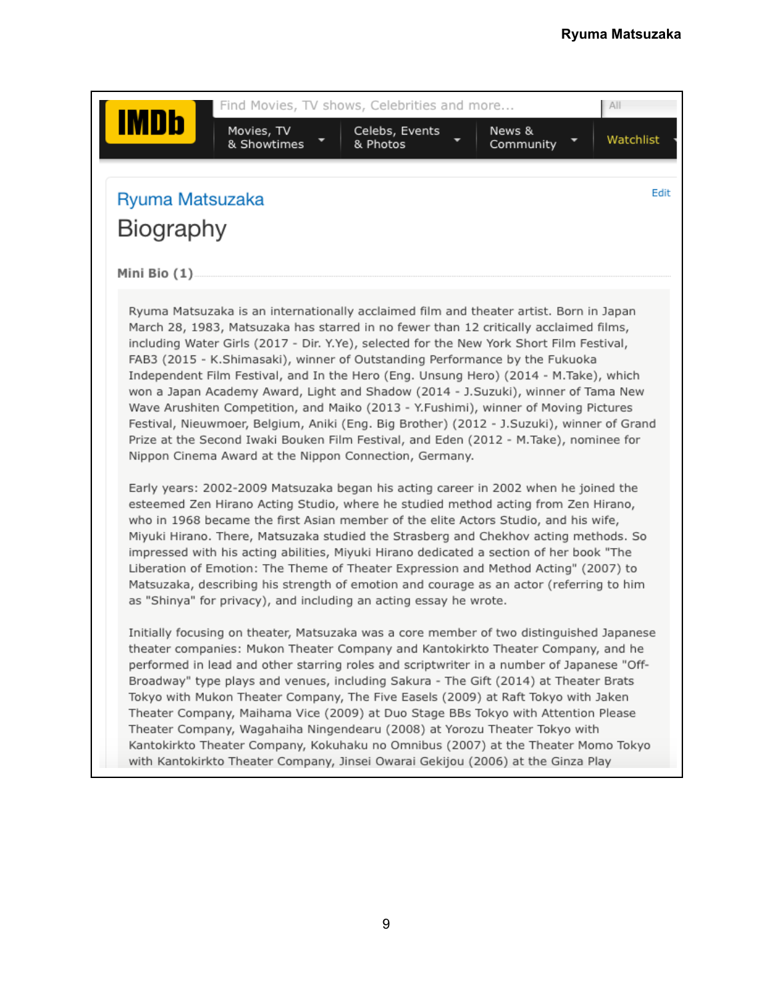| Ryuma Matsuzaka |                                                                                                                                                                                                                                                                                                                                                                                                                                                                                                                                                                                                                                                                                                                                                                                                                                                                                |  | Edit |
|-----------------|--------------------------------------------------------------------------------------------------------------------------------------------------------------------------------------------------------------------------------------------------------------------------------------------------------------------------------------------------------------------------------------------------------------------------------------------------------------------------------------------------------------------------------------------------------------------------------------------------------------------------------------------------------------------------------------------------------------------------------------------------------------------------------------------------------------------------------------------------------------------------------|--|------|
| Biography       |                                                                                                                                                                                                                                                                                                                                                                                                                                                                                                                                                                                                                                                                                                                                                                                                                                                                                |  |      |
|                 |                                                                                                                                                                                                                                                                                                                                                                                                                                                                                                                                                                                                                                                                                                                                                                                                                                                                                |  |      |
| Mini Bio (1)    |                                                                                                                                                                                                                                                                                                                                                                                                                                                                                                                                                                                                                                                                                                                                                                                                                                                                                |  |      |
|                 | Ryuma Matsuzaka is an internationally acclaimed film and theater artist. Born in Japan<br>March 28, 1983, Matsuzaka has starred in no fewer than 12 critically acclaimed films,<br>including Water Girls (2017 - Dir. Y.Ye), selected for the New York Short Film Festival,<br>FAB3 (2015 - K.Shimasaki), winner of Outstanding Performance by the Fukuoka<br>Independent Film Festival, and In the Hero (Eng. Unsung Hero) (2014 - M.Take), which<br>won a Japan Academy Award, Light and Shadow (2014 - J.Suzuki), winner of Tama New<br>Wave Arushiten Competition, and Maiko (2013 - Y.Fushimi), winner of Moving Pictures<br>Festival, Nieuwmoer, Belgium, Aniki (Eng. Big Brother) (2012 - J.Suzuki), winner of Grand<br>Prize at the Second Iwaki Bouken Film Festival, and Eden (2012 - M.Take), nominee for<br>Nippon Cinema Award at the Nippon Connection, Germany. |  |      |
|                 | Early years: 2002-2009 Matsuzaka began his acting career in 2002 when he joined the<br>esteemed Zen Hirano Acting Studio, where he studied method acting from Zen Hirano,<br>who in 1968 became the first Asian member of the elite Actors Studio, and his wife,<br>Miyuki Hirano. There, Matsuzaka studied the Strasberg and Chekhov acting methods. So<br>impressed with his acting abilities, Miyuki Hirano dedicated a section of her book "The<br>Liberation of Emotion: The Theme of Theater Expression and Method Acting" (2007) to<br>Matsuzaka, describing his strength of emotion and courage as an actor (referring to him<br>as "Shinya" for privacy), and including an acting essay he wrote.                                                                                                                                                                     |  |      |
|                 | Initially focusing on theater, Matsuzaka was a core member of two distinguished Japanese<br>theater companies: Mukon Theater Company and Kantokirkto Theater Company, and he<br>performed in lead and other starring roles and scriptwriter in a number of Japanese "Off-<br>Broadway" type plays and venues, including Sakura - The Gift (2014) at Theater Brats<br>Tokyo with Mukon Theater Company, The Five Easels (2009) at Raft Tokyo with Jaken<br>Theater Company, Maihama Vice (2009) at Duo Stage BBs Tokyo with Attention Please<br>Theater Company, Wagahaiha Ningendearu (2008) at Yorozu Theater Tokyo with<br>Kantokirkto Theater Company, Kokuhaku no Omnibus (2007) at the Theater Momo Tokyo<br>with Kantokirkto Theater Company, Jinsei Owarai Gekijou (2006) at the Ginza Play                                                                             |  |      |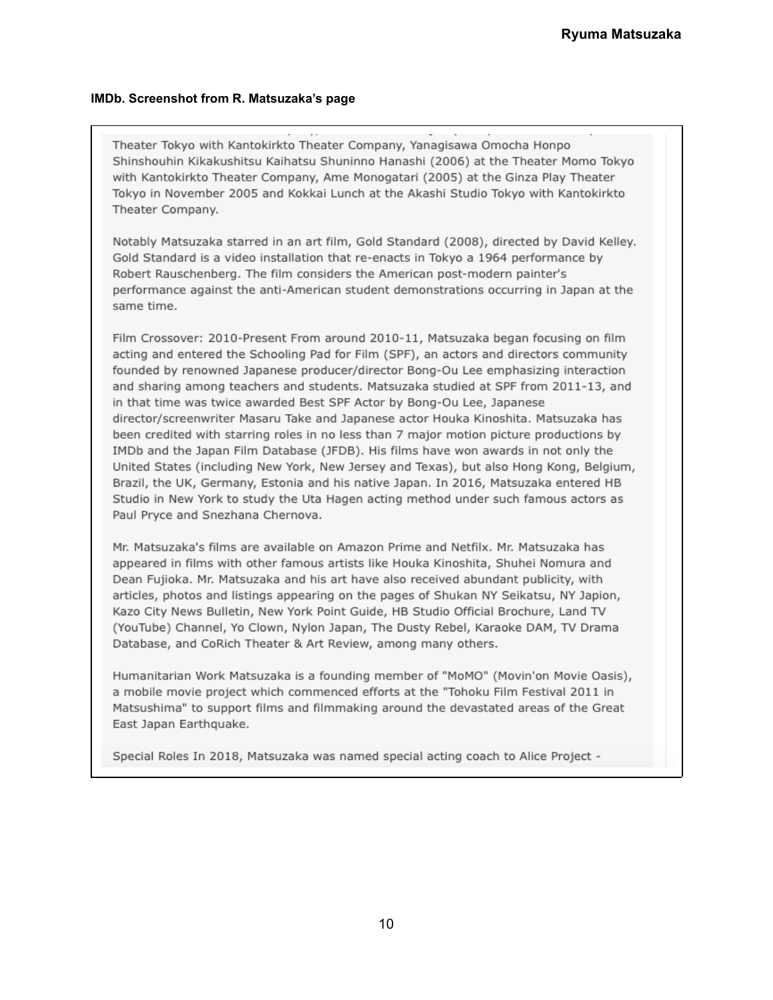Theater Tokyo with Kantokirkto Theater Company, Yanagisawa Omocha Honpo Shinshouhin Kikakushitsu Kaihatsu Shuninno Hanashi (2006) at the Theater Momo Tokyo with Kantokirkto Theater Company, Ame Monogatari (2005) at the Ginza Play Theater Tokyo in November 2005 and Kokkai Lunch at the Akashi Studio Tokyo with Kantokirkto Theater Company.

Notably Matsuzaka starred in an art film, Gold Standard (2008), directed by David Kelley. Gold Standard is a video installation that re-enacts in Tokyo a 1964 performance by Robert Rauschenberg. The film considers the American post-modern painter's performance against the anti-American student demonstrations occurring in Japan at the same time.

Film Crossover: 2010-Present From around 2010-11, Matsuzaka began focusing on film acting and entered the Schooling Pad for Film (SPF), an actors and directors community founded by renowned Japanese producer/director Bong-Ou Lee emphasizing interaction and sharing among teachers and students. Matsuzaka studied at SPF from 2011-13, and in that time was twice awarded Best SPF Actor by Bong-Ou Lee, Japanese director/screenwriter Masaru Take and Japanese actor Houka Kinoshita. Matsuzaka has been credited with starring roles in no less than 7 major motion picture productions by IMDb and the Japan Film Database (JFDB). His films have won awards in not only the United States (including New York, New Jersey and Texas), but also Hong Kong, Belgium, Brazil, the UK, Germany, Estonia and his native Japan. In 2016, Matsuzaka entered HB Studio in New York to study the Uta Hagen acting method under such famous actors as Paul Pryce and Snezhana Chernova.

Mr. Matsuzaka's films are available on Amazon Prime and Netfilx. Mr. Matsuzaka has appeared in films with other famous artists like Houka Kinoshita, Shuhei Nomura and Dean Fujioka. Mr. Matsuzaka and his art have also received abundant publicity, with articles, photos and listings appearing on the pages of Shukan NY Seikatsu, NY Japion, Kazo City News Bulletin, New York Point Guide, HB Studio Official Brochure, Land TV (YouTube) Channel, Yo Clown, Nylon Japan, The Dusty Rebel, Karaoke DAM, TV Drama Database, and CoRich Theater & Art Review, among many others.

Humanitarian Work Matsuzaka is a founding member of "MoMO" (Movin'on Movie Oasis), a mobile movie project which commenced efforts at the "Tohoku Film Festival 2011 in Matsushima" to support films and filmmaking around the devastated areas of the Great East Japan Earthquake.

Special Roles In 2018, Matsuzaka was named special acting coach to Alice Project -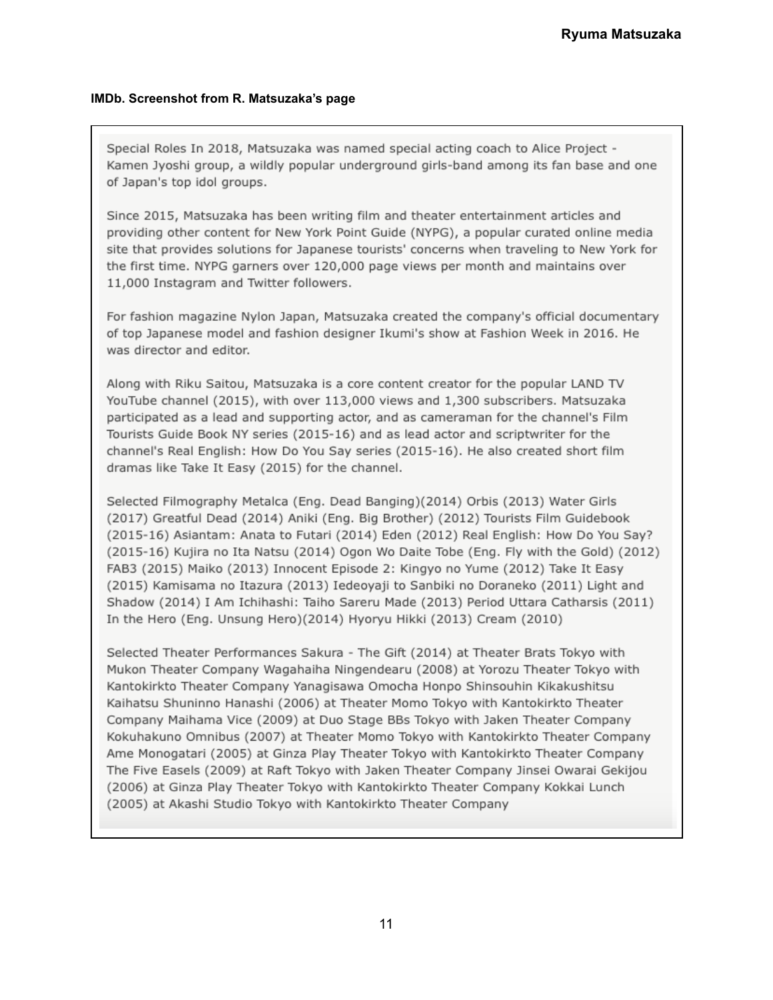Special Roles In 2018, Matsuzaka was named special acting coach to Alice Project -Kamen Jyoshi group, a wildly popular underground girls-band among its fan base and one of Japan's top idol groups.

Since 2015, Matsuzaka has been writing film and theater entertainment articles and providing other content for New York Point Guide (NYPG), a popular curated online media site that provides solutions for Japanese tourists' concerns when traveling to New York for the first time. NYPG garners over 120,000 page views per month and maintains over 11,000 Instagram and Twitter followers.

For fashion magazine Nylon Japan, Matsuzaka created the company's official documentary of top Japanese model and fashion designer Ikumi's show at Fashion Week in 2016. He was director and editor.

Along with Riku Saitou, Matsuzaka is a core content creator for the popular LAND TV YouTube channel (2015), with over 113,000 views and 1,300 subscribers. Matsuzaka participated as a lead and supporting actor, and as cameraman for the channel's Film Tourists Guide Book NY series (2015-16) and as lead actor and scriptwriter for the channel's Real English: How Do You Say series (2015-16). He also created short film dramas like Take It Easy (2015) for the channel.

Selected Filmography Metalca (Eng. Dead Banging)(2014) Orbis (2013) Water Girls (2017) Greatful Dead (2014) Aniki (Eng. Big Brother) (2012) Tourists Film Guidebook (2015-16) Asiantam: Anata to Futari (2014) Eden (2012) Real English: How Do You Say? (2015-16) Kujira no Ita Natsu (2014) Ogon Wo Daite Tobe (Eng. Fly with the Gold) (2012) FAB3 (2015) Maiko (2013) Innocent Episode 2: Kingyo no Yume (2012) Take It Easy (2015) Kamisama no Itazura (2013) Iedeoyaji to Sanbiki no Doraneko (2011) Light and Shadow (2014) I Am Ichihashi: Taiho Sareru Made (2013) Period Uttara Catharsis (2011) In the Hero (Eng. Unsung Hero)(2014) Hyoryu Hikki (2013) Cream (2010)

Selected Theater Performances Sakura - The Gift (2014) at Theater Brats Tokyo with Mukon Theater Company Wagahaiha Ningendearu (2008) at Yorozu Theater Tokyo with Kantokirkto Theater Company Yanagisawa Omocha Honpo Shinsouhin Kikakushitsu Kaihatsu Shuninno Hanashi (2006) at Theater Momo Tokyo with Kantokirkto Theater Company Maihama Vice (2009) at Duo Stage BBs Tokyo with Jaken Theater Company Kokuhakuno Omnibus (2007) at Theater Momo Tokyo with Kantokirkto Theater Company Ame Monogatari (2005) at Ginza Play Theater Tokyo with Kantokirkto Theater Company The Five Easels (2009) at Raft Tokyo with Jaken Theater Company Jinsei Owarai Gekijou (2006) at Ginza Play Theater Tokyo with Kantokirkto Theater Company Kokkai Lunch (2005) at Akashi Studio Tokyo with Kantokirkto Theater Company